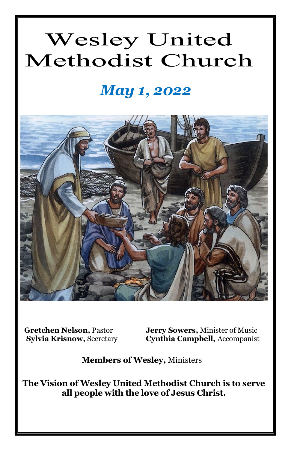# **Wesley United** Methodist Church

## *May 1, 2022*



**Gretchen Nelson, Pastor** *Jerry Sowers, Minister of Music***<br>Sylvia Krisnow, Secretary <b>Cynthia Campbell,** Accompanist **Cynthia Campbell, Accompanist** 

**Members of Wesley,** Ministers

**The Vision of Wesley United Methodist Church is to serve all people with the love of Jesus Christ.**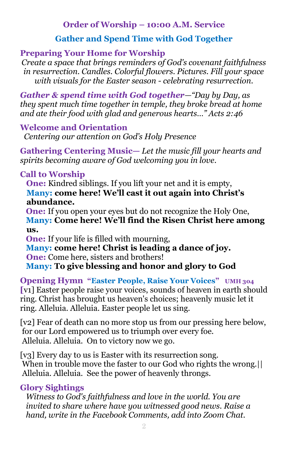#### **Order of Worship – 10:00 A.M. Service**

#### **Gather and Spend Time with God Together**

#### **Preparing Your Home for Worship**

*Create a space that brings reminders of God's covenant faithfulness in resurrection. Candles. Colorful flowers. Pictures. Fill your space with visuals for the Easter season - celebrating resurrection.* 

*Gather & spend time with God together—"Day by Day, as they spent much time together in temple, they broke bread at home and ate their food with glad and generous hearts…" Acts 2:46*

#### **Welcome and Orientation**

*Centering our attention on God's Holy Presence*

**Gathering Centering Music—** *Let the music fill your hearts and spirits becoming aware of God welcoming you in love.*

#### **Call to Worship**

 **One:** Kindred siblings. If you lift your net and it is empty,  **Many: come here! We'll cast it out again into Christ's abundance.**

 **One:** If you open your eyes but do not recognize the Holy One, **Many: Come here! We'll find the Risen Christ here among us.** 

**One:** If your life is filled with mourning,

 **Many: come here! Christ is leading a dance of joy. One:** Come here, sisters and brothers!

**Many: To give blessing and honor and glory to God**

**Opening Hymn "Easter People, Raise Your Voices" UMH 304 [**v1] Easter people raise your voices, sounds of heaven in earth should ring. Christ has brought us heaven's choices; heavenly music let it ring. Alleluia. Alleluia. Easter people let us sing.

[v2] Fear of death can no more stop us from our pressing here below. for our Lord empowered us to triumph over every foe. Alleluia. Alleluia. On to victory now we go.

[v3] Every day to us is Easter with its resurrection song. When in trouble move the faster to our God who rights the wrong. Alleluia. Alleluia. See the power of heavenly throngs.

#### **Glory Sightings**

 *Witness to God's faithfulness and love in the world. You are invited to share where have you witnessed good news. Raise a hand, write in the Facebook Comments, add into Zoom Chat.*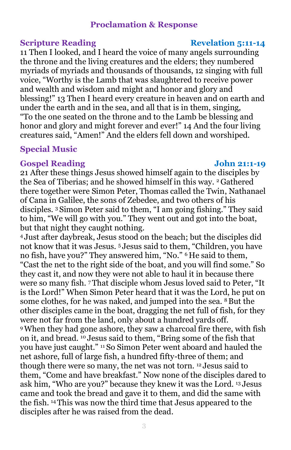#### **Proclamation & Response**

#### **Scripture Reading Revelation 5:11-14**

11 Then I looked, and I heard the voice of many angels surrounding the throne and the living creatures and the elders; they numbered myriads of myriads and thousands of thousands, 12 singing with full voice, "Worthy is the Lamb that was slaughtered to receive power and wealth and wisdom and might and honor and glory and blessing!" 13 Then I heard every creature in heaven and on earth and under the earth and in the sea, and all that is in them, singing, "To the one seated on the throne and to the Lamb be blessing and honor and glory and might forever and ever!" 14 And the four living creatures said, "Amen!" And the elders fell down and worshiped.

#### **Special Music**

#### Gospel Reading John 21:1-19

21 After these things Jesus showed himself again to the disciples by the Sea of Tiberias; and he showed himself in this way. <sup>2</sup> Gathered there together were Simon Peter, Thomas called the Twin, Nathanael of Cana in Galilee, the sons of Zebedee, and two others of his disciples. <sup>3</sup> Simon Peter said to them, "I am going fishing." They said to him, "We will go with you." They went out and got into the boat, but that night they caught nothing.

<sup>4</sup> Just after daybreak, Jesus stood on the beach; but the disciples did not know that it was Jesus. <sup>5</sup> Jesus said to them, "Children, you have no fish, have you?" They answered him, "No." <sup>6</sup> He said to them, "Cast the net to the right side of the boat, and you will find some." So they cast it, and now they were not able to haul it in because there were so many fish. <sup>7</sup> That disciple whom Jesus loved said to Peter, "It is the Lord!" When Simon Peter heard that it was the Lord, he put on some clothes, for he was naked, and jumped into the sea. <sup>8</sup> But the other disciples came in the boat, dragging the net full of fish, for they were not far from the land, only about a hundred yards off. <sup>9</sup>When they had gone ashore, they saw a charcoal fire there, with fish on it, and bread. <sup>10</sup> Jesus said to them, "Bring some of the fish that you have just caught." <sup>11</sup> So Simon Peter went aboard and hauled the net ashore, full of large fish, a hundred fifty-three of them; and though there were so many, the net was not torn. <sup>12</sup> Jesus said to them, "Come and have breakfast." Now none of the disciples dared to ask him, "Who are you?" because they knew it was the Lord. <sup>13</sup> Jesus came and took the bread and gave it to them, and did the same with the fish. <sup>14</sup>This was now the third time that Jesus appeared to the disciples after he was raised from the dead.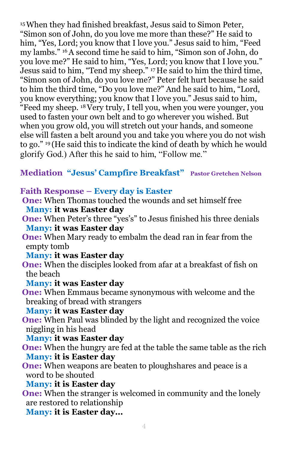<sup>15</sup>When they had finished breakfast, Jesus said to Simon Peter, "Simon son of John, do you love me more than these?" He said to him, "Yes, Lord; you know that I love you." Jesus said to him, "Feed my lambs." <sup>16</sup>A second time he said to him, "Simon son of John, do you love me?" He said to him, "Yes, Lord; you know that I love you." Jesus said to him, "Tend my sheep." <sup>17</sup> He said to him the third time, "Simon son of John, do you love me?" Peter felt hurt because he said to him the third time, "Do you love me?" And he said to him, "Lord, you know everything; you know that I love you." Jesus said to him, "Feed my sheep. <sup>18</sup> Very truly, I tell you, when you were younger, you used to fasten your own belt and to go wherever you wished. But when you grow old, you will stretch out your hands, and someone else will fasten a belt around you and take you where you do not wish to go." <sup>19</sup> (He said this to indicate the kind of death by which he would glorify God.) After this he said to him, "Follow me."

#### **Mediation "Jesus' Campfire Breakfast" Pastor Gretchen Nelson**

#### **Faith Response – Every day is Easter**

- **One:** When Thomas touched the wounds and set himself free **Many: it was Easter day**
- **One:** When Peter's three "yes's" to Jesus finished his three denials **Many: it was Easter day**
- **One:** When Mary ready to embalm the dead ran in fear from the empty tomb

#### **Many: it was Easter day**

**One:** When the disciples looked from afar at a breakfast of fish on the beach

#### **Many: it was Easter day**

**One:** When Emmaus became synonymous with welcome and the breaking of bread with strangers

#### **Many: it was Easter day**

**One:** When Paul was blinded by the light and recognized the voice niggling in his head

#### **Many: it was Easter day**

- **One:** When the hungry are fed at the table the same table as the rich **Many: it is Easter day**
- **One:** When weapons are beaten to ploughshares and peace is a word to be shouted

#### **Many: it is Easter day**

- **One:** When the stranger is welcomed in community and the lonely are restored to relationship
	- **Many: it is Easter day...**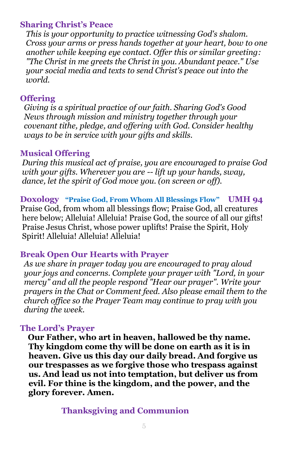#### **Sharing Christ's Peace**

 *This is your opportunity to practice witnessing God's shalom. Cross your arms or press hands together at your heart, bow to one another while keeping eye contact. Offer this or similar greeting: "The Christ in me greets the Christ in you. Abundant peace." Use your social media and texts to send Christ's peace out into the world.*

#### **Offering**

 *Giving is a spiritual practice of our faith. Sharing God's Good News through mission and ministry together through your covenant tithe, pledge, and offering with God. Consider healthy ways to be in service with your gifts and skills.*

#### **Musical Offering**

*During this musical act of praise, you are encouraged to praise God with your gifts. Wherever you are -- lift up your hands, sway, dance, let the spirit of God move you. (on screen or off).*

**Doxology "Praise God, From Whom All Blessings Flow" UMH 94**  Praise God, from whom all blessings flow; Praise God, all creatures here below; Alleluia! Alleluia! Praise God, the source of all our gifts! Praise Jesus Christ, whose power uplifts! Praise the Spirit, Holy Spirit! Alleluia! Alleluia! Alleluia!

#### **Break Open Our Hearts with Prayer**

 *As we share in prayer today you are encouraged to pray aloud your joys and concerns. Complete your prayer with "Lord, in your mercy" and all the people respond "Hear our prayer". Write your prayers in the Chat or Comment feed. Also please email them to the church office so the Prayer Team may continue to pray with you during the week.*

#### **The Lord's Prayer**

 **Our Father, who art in heaven, hallowed be thy name. Thy kingdom come thy will be done on earth as it is in heaven. Give us this day our daily bread. And forgive us our trespasses as we forgive those who trespass against us. And lead us not into temptation, but deliver us from evil. For thine is the kingdom, and the power, and the glory forever. Amen.**

**Thanksgiving and Communion**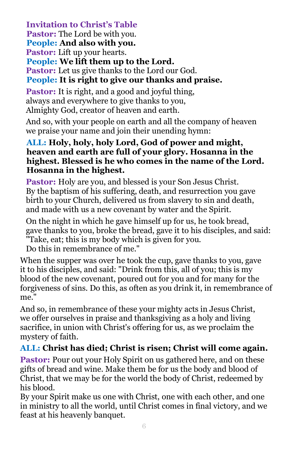**Invitation to Christ's Table Pastor:** The Lord be with you.  **People: And also with you.**

**Pastor:** Lift up your hearts.

 **People: We lift them up to the Lord.**

Pastor: Let us give thanks to the Lord our God.

 **People: It is right to give our thanks and praise.**

**Pastor:** It is right, and a good and joyful thing, always and everywhere to give thanks to you, Almighty God, creator of heaven and earth.

 And so, with your people on earth and all the company of heaven we praise your name and join their unending hymn:

#### **ALL: Holy, holy, holy Lord, God of power and might, heaven and earth are full of your glory. Hosanna in the highest. Blessed is he who comes in the name of the Lord. Hosanna in the highest.**

Pastor: Holy are you, and blessed is your Son Jesus Christ. By the baptism of his suffering, death, and resurrection you gave birth to your Church, delivered us from slavery to sin and death, and made with us a new covenant by water and the Spirit.

 On the night in which he gave himself up for us, he took bread, gave thanks to you, broke the bread, gave it to his disciples, and said: "Take, eat; this is my body which is given for you.

Do this in remembrance of me."

When the supper was over he took the cup, gave thanks to you, gave it to his disciples, and said: "Drink from this, all of you; this is my blood of the new covenant, poured out for you and for many for the forgiveness of sins. Do this, as often as you drink it, in remembrance of me."

And so, in remembrance of these your mighty acts in Jesus Christ, we offer ourselves in praise and thanksgiving as a holy and living sacrifice, in union with Christ's offering for us, as we proclaim the mystery of faith.

#### **ALL: Christ has died; Christ is risen; Christ will come again.**

**Pastor:** Pour out your Holy Spirit on us gathered here, and on these gifts of bread and wine. Make them be for us the body and blood of Christ, that we may be for the world the body of Christ, redeemed by his blood.

By your Spirit make us one with Christ, one with each other, and one in ministry to all the world, until Christ comes in final victory, and we feast at his heavenly banquet.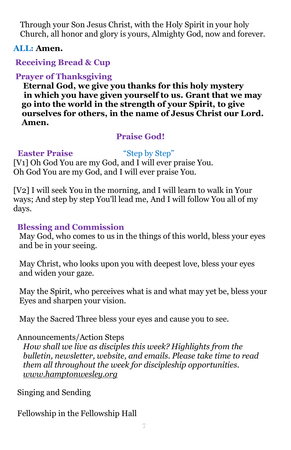Through your Son Jesus Christ, with the Holy Spirit in your holy Church, all honor and glory is yours, Almighty God, now and forever.

#### **ALL: Amen.**

### **Receiving Bread & Cup**

#### **Prayer of Thanksgiving**

 **Eternal God, we give you thanks for this holy mystery in which you have given yourself to us. Grant that we may go into the world in the strength of your Spirit, to give ourselves for others, in the name of Jesus Christ our Lord. Amen.**

#### **Praise God!**

#### **Easter Praise** "Step by Step"

[V<sub>1</sub>] Oh God You are my God, and I will ever praise You. Oh God You are my God, and I will ever praise You.

[V2] I will seek You in the morning, and I will learn to walk in Your ways; And step by step You'll lead me, And I will follow You all of my days.

#### **Blessing and Commission**

May God, who comes to us in the things of this world, bless your eyes and be in your seeing.

 May Christ, who looks upon you with deepest love, bless your eyes and widen your gaze.

 May the Spirit, who perceives what is and what may yet be, bless your Eyes and sharpen your vision.

May the Sacred Three bless your eyes and cause you to see.

#### Announcements/Action Steps

 *How shall we live as disciples this week? Highlights from the bulletin, newsletter, website, and emails. Please take time to read them all throughout the week for discipleship opportunities. [www.hamptonwesley.org](about:blank)*

Singing and Sending

Fellowship in the Fellowship Hall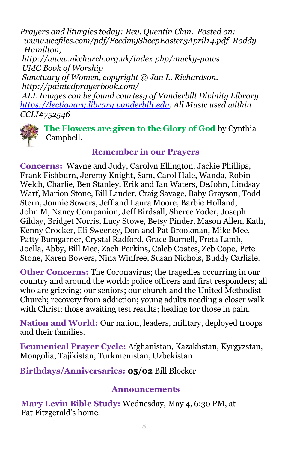*Prayers and liturgies today: Rev. Quentin Chin. Posted on:  [www.uccfiles.com/pdf/FeedmySheepEaster3April14.pdf](about:blank) Roddy Hamilton,*

*http://www.nkchurch.org.uk/index.php/mucky-paws UMC Book of Worship*

*Sanctuary of Women, copyright © Jan L. Richardson. http://paintedprayerbook.com/*

*ALL Images can be found courtesy of Vanderbilt Divinity Library. https://lectionary.library.vanderbilt.edu. All Music used within CCLI#752546*



**The Flowers are given to the Glory of God** by Cynthia Campbell.

#### **Remember in our Prayers**

**Concerns:** Wayne and Judy, Carolyn Ellington, Jackie Phillips, Frank Fishburn, Jeremy Knight, Sam, Carol Hale, Wanda, Robin Welch, Charlie, Ben Stanley, Erik and Ian Waters, DeJohn, Lindsay Warf, Marion Stone, Bill Lauder, Craig Savage, Baby Grayson, Todd Stern, Jonnie Sowers, Jeff and Laura Moore, Barbie Holland, John M, Nancy Companion, Jeff Birdsall, Sheree Yoder, Joseph Gilday, Bridget Norris, Lucy Stowe, Betsy Pinder, Mason Allen, Kath, Kenny Crocker, Eli Sweeney, Don and Pat Brookman, Mike Mee, Patty Bumgarner, Crystal Radford, Grace Burnell, Freta Lamb, Joella, Abby, Bill Mee, Zach Perkins, Caleb Coates, Zeb Cope, Pete Stone, Karen Bowers, Nina Winfree, Susan Nichols, Buddy Carlisle.

**Other Concerns:** The Coronavirus; the tragedies occurring in our country and around the world; police officers and first responders; all who are grieving; our seniors; our church and the United Methodist Church; recovery from addiction; young adults needing a closer walk with Christ; those awaiting test results; healing for those in pain.

**Nation and World:** Our nation, leaders, military, deployed troops and their families.

**Ecumenical Prayer Cycle:** Afghanistan, Kazakhstan, Kyrgyzstan, Mongolia, Tajikistan, Turkmenistan, Uzbekistan

 **Birthdays/Anniversaries: 05/02** Bill Blocker

#### **Announcements**

 **Mary Levin Bible Study:** Wednesday, May 4, 6:30 PM, at Pat Fitzgerald's home.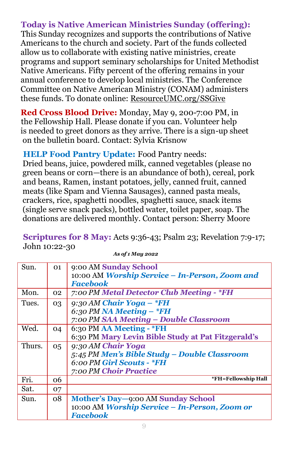### **Today is Native American Ministries Sunday (offering):**

This Sunday recognizes and supports the contributions of Native Americans to the church and society. Part of the funds collected allow us to collaborate with existing native ministries, create programs and support seminary scholarships for United Methodist Native Americans. Fifty percent of the offering remains in your annual conference to develop local ministries. The Conference Committee on Native American Ministry (CONAM) administers these funds. To donate online: ResourceUMC.org/SSGive

 **Red Cross Blood Drive:** Monday, May 9, 200-7:00 PM, in the Fellowship Hall. Please donate if you can. Volunteer help is needed to greet donors as they arrive. There is a sign-up sheet on the bulletin board. Contact: Sylvia Krisnow

**HELP Food Pantry Update:** Food Pantry needs:

Dried beans, juice, powdered milk, canned vegetables (please no green beans or corn—there is an abundance of both), cereal, pork and beans, Ramen, instant potatoes, jelly, canned fruit, canned meats (like Spam and Vienna Sausages), canned pasta meals, crackers, rice, spaghetti noodles, spaghetti sauce, snack items (single serve snack packs), bottled water, toilet paper, soap. The donations are delivered monthly. Contact person: Sherry Moore

 **Scriptures for 8 May:** Acts 9:36-43; Psalm 23; Revelation 7:9-17; John 10:22-30

| $S11n$ . | 01 | 9:00 AM Sunday School                                              |  |
|----------|----|--------------------------------------------------------------------|--|
|          |    | 10:00 AM Worship Service - In-Person, Zoom and                     |  |
|          |    | <b>Facebook</b>                                                    |  |
| Mon.     | 02 | 7:00 PM Metal Detector Club Meeting - *FH                          |  |
| Tues.    | 03 | 9:30 AM Chair Yoga $-$ *FH<br>6:30 PM NA Meeting $-$ *FH           |  |
|          |    |                                                                    |  |
|          |    | 7:00 PM SAA Meeting - Double Classroom                             |  |
| Wed.     | 04 | 6:30 PM AA Meeting - *FH                                           |  |
|          |    | 6:30 PM Mary Levin Bible Study at Pat Fitzgerald's                 |  |
| Thurs.   | 05 | 9:30 AM Chair Yoga<br>5:45 PM Men's Bible Study - Double Classroom |  |
|          |    |                                                                    |  |
|          |    | 6:00 PM Girl Scouts - *FH                                          |  |
|          |    | 7:00 PM Choir Practice                                             |  |
| Fri.     | 06 | *FH=Fellowship Hall                                                |  |
| Sat.     | 07 |                                                                    |  |
| $S11n$ . | 08 | Mother's Day-9:00 AM Sunday School                                 |  |
|          |    | 10:00 AM Worship Service - In-Person, Zoom or                      |  |
|          |    | <b>Facebook</b>                                                    |  |

*As of 1 May <sup>2022</sup>*